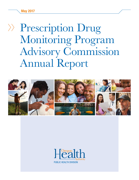# Prescription Drug Monitoring Program Advisory Commission Annual Report



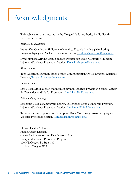## Acknowledgments

This publication was prepared by the Oregon Health Authority Public Health Division, including:

#### *Technical data contacts:*

Joshua Van Otterloo MSPH, research analyst, Prescription Drug Monitoring Program, Injury and Violence Prevention Section, [Joshua.Vanotterloo@state.or.us](mailto:Joshua.Vanotterloo@state.or.us)

Drew Simpson MPH, research analyst, Prescription Drug Monitoring Program, Injury and Violence Prevention Section, [Drew.R.Simpson@state.or.us](mailto:Drew.R.Simpson@state.or.us)

#### *Media contact:*

Tony Andersen, communication officer, Communication Office, External Relations Division, [Tony.A.Andersen@state.or.us](mailto:Tony.A.Andersen@state.or.us)

#### *Program contact:*

Lisa Millet, MSH, section manager, Injury and Violence Prevention Section, Center for Prevention and Health Promotion, [Lisa.M.Millet@state.or.us](mailto:Lisa.M.Millet@state.or.us)

#### *Additional program staff:*

Stephanie Vesik, MA, program analyst, Prescription Drug Monitoring Program, Injury and Violence Prevention Section, [Stephanie.G.Vesik@state.or.us](mailto:Stephanie.G.Vesik@state.or.us)

Tamara Ramirez, operations, Prescription Drug Monitoring Program, Injury and Violence Prevention Section, [Tamara.Ramirez@state.or.us](mailto:Tamara.Ramirez@state.or.us)

Oregon Health Authority Public Health Division Center for Prevention and Health Promotion Injury and Violence Prevention Program 800 NE Oregon St. Suite 730 Portland, Oregon 97232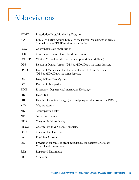## Abbreviations

| <b>PDMP</b>    | Prescription Drug Monitoring Program                                                                               |  |  |  |  |  |
|----------------|--------------------------------------------------------------------------------------------------------------------|--|--|--|--|--|
| BJA            | Bureau of Justice Affairs (bureau of the federal Department of Justice<br>from whom the PDMP receives grant funds) |  |  |  |  |  |
| CCO            | Coordinated care organization                                                                                      |  |  |  |  |  |
| <b>CDC</b>     | Centers for Disease Control and Prevention                                                                         |  |  |  |  |  |
| <b>CNS-PP</b>  | Clinical Nurse Specialist (nurses with prescribing privileges)                                                     |  |  |  |  |  |
| <b>DDS</b>     | Doctor of Dental Surgery (DDS and DMD are the same degrees.)                                                       |  |  |  |  |  |
| <b>DMD</b>     | Doctor of Medicine in Dentistry or Doctor of Dental Medicine<br>(DDS and DMD are the same degrees.)                |  |  |  |  |  |
| <b>DEA</b>     | Drug Enforcement Agency                                                                                            |  |  |  |  |  |
| DO             | Doctor of Osteopathy                                                                                               |  |  |  |  |  |
| <b>EDIE</b>    | <b>Emergency Department Information Exchange</b>                                                                   |  |  |  |  |  |
| HB             | House Bill                                                                                                         |  |  |  |  |  |
| <b>HID</b>     | Health Information Design (the third party vendor hosting the PDMP)                                                |  |  |  |  |  |
| MD             | Medical doctor                                                                                                     |  |  |  |  |  |
| ND             | Naturopathic doctor                                                                                                |  |  |  |  |  |
| N <sub>P</sub> | <b>Nurse Practitioner</b>                                                                                          |  |  |  |  |  |
| <b>OHA</b>     | Oregon Health Authority                                                                                            |  |  |  |  |  |
| <b>OHSU</b>    | Oregon Health & Science University                                                                                 |  |  |  |  |  |
| OSU            | <b>Oregon State University</b>                                                                                     |  |  |  |  |  |
| PA             | Physician Assistant                                                                                                |  |  |  |  |  |
| <b>PfS</b>     | Prevention for States (a grant awarded by the Centers for Disease<br>Control and Prevention)                       |  |  |  |  |  |
| <b>RPh</b>     | Registered Pharmacist                                                                                              |  |  |  |  |  |
| SB             | Senate Bill                                                                                                        |  |  |  |  |  |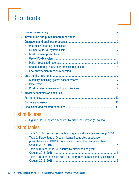# Contents

| $\gg$     |           |  |
|-----------|-----------|--|
| $\gg$     |           |  |
| $\gg$     |           |  |
|           | $\gg$     |  |
|           | $\gg$     |  |
|           | $\gg$     |  |
|           | $\gg$     |  |
|           | $\rangle$ |  |
|           | $\gg$     |  |
|           | $\gg$     |  |
| $\gg$     |           |  |
|           | $\gg$     |  |
|           | $\gg$     |  |
|           | $\gg$     |  |
| $\gg$     |           |  |
| $\gg$     |           |  |
| $\rangle$ |           |  |
| $\gg$     |           |  |

## List of figures

| $\gg$ Figure 1. PDMP system accounts by discipline, Oregon (n=14,914)3 |  |  |  |
|------------------------------------------------------------------------|--|--|--|

### List of tables

|       | $\gg$ Table 1. PDMP system accounts and query statistics by user group, 2016 4 |     |
|-------|--------------------------------------------------------------------------------|-----|
| $\gg$ | Table 2. Percentage of Oregon-licensed controlled substance                    |     |
|       | prescribers with PDMP. Accounts are by most frequent prescribers:              |     |
|       |                                                                                |     |
| $\gg$ | Table 3. Number of PDMP queries by discipline and year:                        |     |
|       |                                                                                | - 5 |
|       | >> Table 4. Number of health care regulatory reports requested by discipline:  |     |
|       |                                                                                |     |
|       |                                                                                |     |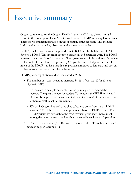## <span id="page-4-0"></span>Executive summary

Oregon statute requires the Oregon Health Authority (OHA) to give an annual report to the Prescription Drug Monitoring Program (PDMP) Advisory Commission. This report contains information on the operation of the program. This includes basic metrics, status on key objectives and evaluation activities.

In 2009, the Oregon Legislature passed Senate Bill 355. This bill directs OHA to develop a PDMP. The program became operational in September 2011. The PDMP is an electronic, web-based data system. The system collects information on Schedule II–IV controlled substances dispensed by Oregon-licensed retail pharmacies. The intent of the PDMP is to help health care providers improve patient care and prevent problems associated with controlled substances.

PDMP system registration and use increased in 2016:

- The number of system accounts increased by 23%, from 12,142 (in 2015) to 14,914 (in 2016).
	- » An increase in delegate accounts was the primary driver behind the increase. Delegates are non-licensed staff who access the PDMP on behalf of prescribers, pharmacists and medical examiners. A 2014 statutory change authorizes staff to act in this manner.
	- » 47% of all Oregon-licensed controlled substance prescribers have a PDMP account. 80% of the most frequent prescribers have a PDMP account. The PDMP prioritizes outreach to the most frequent prescribers. Enrollment among the most frequent providers has increased in each year of operation.
- 9,159 active users made 1,210,460 system queries in 2016. There has been an 8% increase in queries from 2015.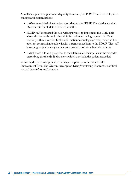As well as regular compliance and quality assurance, the PDMP made several system changes and customizations:

- 100% of mandated pharmacies report data to the PDMP. They had a less than 1% error rate for all data submitted in 2016.
- PDMP staff completed the rule-writing process to implement HB 4124. This allows disclosure through a health information technology system. Staff are working with our vendor, health information technology systems, users and the advisory commission to allow health system connections to the PDMP. The staff is keeping proper privacy and security precautions throughout the process.
- A dashboard allows a prescriber to see a table of all their patients who exceeded prescribing thresholds. It also shows which threshold the patient exceeded.

Reducing the burden of prescription drugs is a priority in the State Health Improvement Plan. The Oregon Prescription Drug Monitoring Program is a critical part of the state's overall strategy.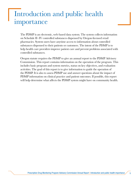## <span id="page-6-0"></span>Introduction and public health importance

The PDMP is an electronic, web-based data system. The system collects information on Schedule II–IV controlled substances dispensed by Oregon-licensed retail pharmacies. System users have anytime access to information about controlled substances dispensed to their patients or customers. The intent of the PDMP is to help health care providers improve patient care and prevent problems associated with controlled substances.

Oregon statute requires the PDMP to give an annual report to the PDMP Advisory Commission. This report contains information on the operation of the program. This includes basic program and system metrics, status on key objectives, and evaluation activities. The goal of this report is to give information to guide the operation of the PDMP. It is also to assess PDMP use and answer questions about the impact of PDMP information on clinical practice and patient outcomes. If possible, this report will help determine what affects the PDMP system might have on community health.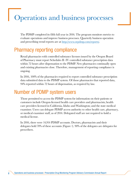## <span id="page-7-0"></span>Operations and business processes

The PDMP completed its fifth full year in 2016. The program monitors metrics to evaluate operations and improve business processes. Quarterly business operation and prescribing trend reports are at [http://www.orpdmp.com/reports/.](http://www.orpdmp.com/reports/)

### Pharmacy reporting compliance

Retail pharmacies with controlled substance licenses issued by the Oregon Board of Pharmacy must report Schedules II–IV controlled substance prescription data within 72 hours after dispensation to the PDMP. New pharmacies continually open and existing pharmacies close. Therefore, management of reporting compliance is ongoing.

In 2016, 100% of the pharmacies required to report controlled substance prescription data submitted data to the PDMP system. Of those pharmacies that reported data, 94% reported within 72 hours of dispensation, as required by law.

### Number of PDMP system users

Those permitted to access the PDMP system for information on their patients or customers include Oregon-licensed health care providers and pharmacists; health care providers licensed in California, Idaho and Washington; and the state medical examiner. Users can delegate PDMP access authority to other health care, pharmacy, or medical examiner staff, as of 2014. Delegated staff are not required to hold a medical license.

In 2016, there were 14,914 PDMP accounts. Doctors, pharmacists and their delegates held 70% of these accounts (Figure 1). 90% of the delegates are delegates for prescribers.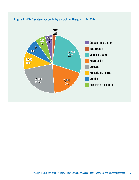

#### <span id="page-8-0"></span>Figure 1. PDMP system accounts by discipline, Oregon (n=14,914)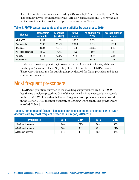<span id="page-9-0"></span>The total number of accounts increased by 23% from 12,142 in 2015 to 14,914 in 2016. The primary driver for this increase was 1,241 new delegate accounts. There was also an increase in medical provider and pharmacist accounts (Table 1).

| <b>License</b>            | <b>Total system</b><br><b>accounts</b> | % change<br>(vs 2015) | <b>Active</b><br><b>users</b> | % change (vs<br>2015) | <b>Average queries</b><br>per user |
|---------------------------|----------------------------------------|-----------------------|-------------------------------|-----------------------|------------------------------------|
| MD/PA/DO                  | 4,244                                  | 11.0%                 | 3,777                         | 8.3%                  | 81.1                               |
| <b>Pharmacists</b>        | 2,788                                  | 13.2%                 | 2,633                         | 6.5%                  | 188.4                              |
| <b>Delegates</b>          | 3,384                                  | 57.9%                 | 749                           | 49.8%                 | 403.0                              |
| <b>Prescribing Nurses</b> | 1,562                                  | 14.4%                 | 1,172                         | 10.9%                 | 73.4                               |
| <b>Dentists</b>           | 1,134                                  | 42.8%                 | 614                           | 45.5%                 | 22.8                               |
| <b>Naturopaths</b>        | 312                                    | 56.8%                 | 214                           | 67.2%                 | 28.6                               |

#### Table 1. PDMP system accounts and query statistics by user group, 2016

Health care providers practicing in states bordering Oregon (California, Idaho and Washington) accounted for 2.8% (n=421) of the total number of PDMP accounts. There were 329 accounts for Washington providers, 63 for Idaho providers and 29 for California providers.

### Most frequent prescribers

PDMP staff prioritizes outreach to the most frequent prescribers. In 2016, 4,000 health care providers prescribed 78% of the controlled substance prescription records in the PDMP. While less than half of all Oregon licensed prescribers have enrolled in the PDMP, 74% of the most frequently prescribing 4,000 health care providers are enrolled (Table 2).

#### Table 2. Percentage of Oregon-licensed controlled substance prescribers with PDMP. Accounts are by most frequent prescribers: Oregon, 2013–2016

| <b>Prescribers</b>  | 2013 | 2014 | 2015 | 2016 |
|---------------------|------|------|------|------|
| 2,000 most frequent | 66%  | 74%  | 80%  | 80%  |
| 4,000 most frequent | 58%  | 66%  | 72%  | 74%  |
| All Oregon-licensed | 37%  | 42%  | 48%  | 47%  |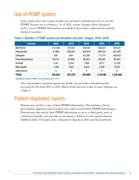### <span id="page-10-0"></span>Use of PDMP system

State statute does not require health care providers and pharmacists to use the PDMP. System use is voluntary. As of 2014, statute changes allow delegated staff to access PDMP information on behalf of prescribers, pharmacists and the medical examiner.

| <b>License</b>            | 2012    | 2013    | 2014    | 2015      | 2016      |
|---------------------------|---------|---------|---------|-----------|-----------|
| MD/PA/DO                  | 212,366 | 279,937 | 259,162 | 269,875   | 299,491   |
| <b>Pharmacists</b>        | 21,865  | 265,057 | 364,873 | 482,155   | 501,387   |
| <b>Delegates</b>          | $N/A^*$ | $N/A^*$ | 63,388  | 177,215   | 309,463   |
| <b>Prescribing Nurses</b> | 48,731  | 67,668  | 80,975  | 85,636    | 80,243    |
| <b>Dentists</b>           | 4,181   | 6,243   | 7,949   | 8,617     | 13,780    |
| <b>Naturopaths</b>        | 1,308   | 2,651   | 4,624   | 4,190     | 6,076     |
| <b>Optometrists</b>       | 0       | 0       | 0       | 0         | 8         |
| <b>TOTAL</b>              | 281,655 | 621,570 | 810,996 | 1,116,186 | 1,210,460 |

#### Table 3. Number of PDMP queries by discipline and year: Oregon, 2012–2016

\* Delegates allowed PDMP access beginning in 2014

The total number of patient queries by health care providers and pharmacists increased by 8% from 2015 to 2016. Much of this increase is due to more delegate use (Table 3).

### Patient-requested reports

Patients may ask for a copy of their PDMP information. This includes a list of prescriptions dispensed and of system users who accessed their PDMP information. Patients may also ask for their PDMP information to go to a third party, such as a behavioral health care provider or an attorney. Patient record requests must be fulfilled within 10 business days. All patient requests in 2016 met this timeframe.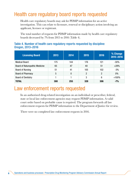## <span id="page-11-0"></span>Health care regulatory board reports requested

Health care regulatory boards may ask for PDMP information for an active investigation. This can relate to licensure, renewal or disciplinary action involving an applicant, licensee or registrant.

The total number of requests for PDMP information made by health care regulatory boards decreased by 7% from 2015 to 2016 (Table 4).

#### Table 4. Number of health care regulatory reports requested by discipline: Oregon, 2013–2016

| <b>Licensing Board</b>                | 2013 | 2014 | 2015           | 2016 | % Change<br>2015-2016 |
|---------------------------------------|------|------|----------------|------|-----------------------|
| <b>Medical Board</b>                  | 175  | 144  | 176            | 121  | $-30%$                |
| <b>Board of Naturopathic Medicine</b> | 65   | 47   | 40             | 51   | $+28%$                |
| <b>Board of Nursing</b>               | 51   | 41   | 105            | 102  | $-3%$                 |
| <b>Board of Pharmacy</b>              | 5    | 0    | $\overline{2}$ | 2    | 0%                    |
| <b>Board of Dentistry</b>             |      |      | 3              | 6    | $+100%$               |
| <b>TOTAL</b>                          | 300  | 255  | 328            | 306  | $-7%$                 |

### Law enforcement reports requested

In an authorized drug-related investigation on an individual or prescriber, federal, state or local law enforcement agencies may request PDMP information. A valid court order based on probable cause is required. The program forwards all law enforcement requests for PDMP information to the Department of Justice for review.

There were no completed law enforcement requests in 2016.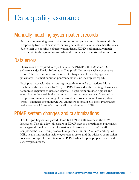## <span id="page-12-0"></span>Data quality assurance

### Manually matching system patient records

Accuracy in matching prescriptions to the correct patient record is essential. This is especially true for clinicians monitoring patients at risk for adverse health events due to their use or misuse of prescription drugs. PDMP staff manually match records within the system in cases where the system cannot make a determination.

### Data errors

Pharmacies are required to report data to the PDMP within 72 hours. Our software vendor Health Information Designs (HID) runs a weekly compliance report. The program reviews the report for frequency of errors by type and pharmacy. The most common pharmacy error is an incomplete report.

Each pharmacy with data errors is granted time to make corrections. Many resubmit with corrections. In 2016, the PDMP worked with reporting pharmacies to improve responses to rejection reports. The program provided support and education on the need for data accuracy to start at the pharmacy. Mistyped or skipped-over manual entering likely caused the most common pharmacy data errors. Examples are unknown DEA numbers or invalid ZIP code. Pharmacies had a less than 1% rate of errors for all data submitted in 2016.

### PDMP system changes and customizations

The Oregon Legislature passed House Bill 4124 in 2016 to amend the PDMP legislation. The bill allows disclosure of PDMP data to a practitioner, pharmacist or delegate through a health information technology system. PDMP staff completed the rule-writing process to implement this bill. Staff are working with HID, health information technology systems, users, and the advisory commission to allow this type of connection to the PDMP while keeping proper privacy and security precautions.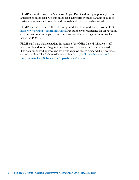PDMP has worked with the Southern Oregon Pain Guidance group to implement a prescriber dashboard. On this dashboard, a prescriber can see a table of all their patients who exceeded prescribing thresholds and the threshold exceeded.

PDMP staff have created three training modules. The modules are available at [http://www.orpdmp.com/training.html.](http://www.orpdmp.com/training.html) Modules cover registering for an account, creating and reading a patient account, and troubleshooting common problems using the PDMP.

PDMP staff have participated in the launch of the OHA Opioid Initiative. Staff also contributed to the Oregon prescribing and drug overdose data dashboard. The data dashboard updates regularly and displays prescribing and drug overdose statistics online. The dashboard is available at [http://public.health.oregon.gov/](http://public.health.oregon.gov/PreventionWellness/SubstanceUse/Opioids/Pages/data.aspx) [PreventionWellness/SubstanceUse/Opioids/Pages/data.aspx.](http://public.health.oregon.gov/PreventionWellness/SubstanceUse/Opioids/Pages/data.aspx)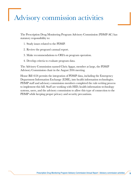## <span id="page-14-0"></span>Advisory commission activities

The Prescription Drug Monitoring Program Advisory Commission (PDMP-AC) has statutory responsibility to:

- 1. Study issues related to the PDMP.
- 2. Review the program's annual report.
- 3. Make recommendations to OHA on program operation.
- 4. Develop criteria to evaluate program data.

The Advisory Commission named Chris Apgar, member at large, the PDMP Advisory Commission chair in the August 2016 meeting.

House Bill 4124 permits the integration of PDMP data, including the Emergency Department Information Exchange (EDIE), into health information technologies. PDMP staff and advisory commission members completed the rule-writing process to implement this bill. Staff are working with HID, health information technology systems, users, and the advisory commission to allow this type of connection to the PDMP while keeping proper privacy and security precautions.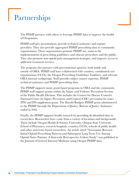## <span id="page-15-0"></span>Partnerships

The PDMP partners with others to leverage PDMP data to improve the health of Oregonians.

PDMP staff give presentations, provide technical assistance and register providers. They also provide aggregated PDMP prescribing data to community organizations. These organizations promote PDMP use, assist in the implementation of prescribing guidelines, and educate prescribers and the public. They also promote non-opioid pain management strategies, and improve access to addiction treatment services.

The program also partners with governmental agencies, both inside and outside of OHA. PDMP staff have collaborated with counties, coordinated care organizations (CCOs), the Oregon Prescribing Guidelines Taskforce, and relevant OHA internal workgroups. Staff provides subject matter expertise, PDMP technical assistance and PDMP prescribing data.

The PDMP supports many grant-based programs in OHA and the community. PDMP staff support grants within the Injury and Violence Prevention Section of the Public Health Division. This includes the Centers for Disease Control's National Center for Injury Prevention and Control (CDC) prevention for states (PfS) and PfS supplement grant. The Harold Rodgers PDMP grant administered to the PDMP through the Department of Justice, Bureau of Justice Assistance ended in 2016.

Finally, the PDMP supports health research by providing de-identified data to researchers. Researchers have come from a variety of locations and backgrounds. These include Oregon Health & Science University, Oregon State University School of Pharmacy, research hospitals, counties, CCOs, schools of public health and other university-based researchers. An article titled "Association Between Initial Opioid Prescribing Patterns and Subsequent Long-Term Use Among Opioid-Naïve Patients: A Statewide Retrospective Cohort Study" was published in the Journal of General Internal Medicine using Oregon PDMP data.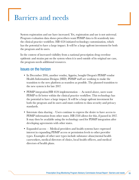## <span id="page-16-0"></span>Barriers and needs

System registration and use have increased. Yet, registration and use is not universal. Program evaluation data shows prescribers want PDMP data to fit seamlessly into the clinical practice workflow. HB 4124 initiated technology customization, which has the potential to have a large impact. It will be a large upfront investment for both the program and its users.

In the context of increased visibility from a national prescription drug overdose epidemic and strains put on the system when it is used outside of its original use case, the program needs additional resources.

#### Issues on the horizon

- In December 2016, another vendor, Appriss, bought Oregon's PDMP vendor Health Information Designs (HID). PDMP staff are working to make the transition to the new platform as seamless as possible. The planned transition to the new system is for late 2017.
- PDMP integration/HB 4124 implementation As noted above, users want PDMP to fit better within the clinical practice workflow. This technology has the potential to have a large impact. It will be a large upfront investment for both the program and its users and must conform to data security and privacy standards.
- Interstate data sharing Users continue to express the desire to have access to PDMP information from other states. HB 2518 allows for this, if passed in 2017. It may then be available using the technology used for PDMP integration after developing agreements with other states.
- Expanded access Medical providers and health systems have expressed interest in expanding PDMP access or permission levels to other provider types. Examples of other user types include substance abuse/mental health caseworkers, medical directors of clinics, local health officers, and medical directors of health plans.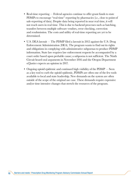- Real-time reporting Federal agencies continue to offer grant funds to state PDMPs to encourage "real-time" reporting by pharmacies (i.e., close to point-of sale-reporting of data). Despite data being reported in near real time, it will not reach users in real time. This is due to backend processes such as batching, transfers between multiple software vendors, error checking, correction and resubmission. The costs and utility of real-time reporting are yet to be determined.
- U.S. DEA lawsuit The PDMP filed a lawsuit in 2012 against the U.S. Drug Enforcement Administration (DEA). The program wants to find out its rights and obligations in complying with administrative subpoenas to produce PDMP information. State law requires law enforcement requests be accompanied by a court order based upon probable cause; a subpoena is not sufficient. The Ninth Circuit heard oral arguments in November 2016 and the Oregon Department of Justice expects an opinion in 2017.
- Ongoing opioid epidemic and continued high visibility of the PDMP Seen as a key tool to curb the opioid epidemic, PDMPs are often one of the few tools available to local and state leadership. New demands on the system are often outside of the scope of the original use case. These demands require expensive and/or time intensive changes that stretch the resources of the program.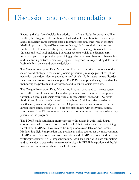## <span id="page-18-0"></span>Discussion and recommendations

Reducing the burden of opioids is a priority in the State Health Improvement Plan. In 2015, the Oregon Health Authority chartered an Opioid Initiative. Leadership across the agency came together once a month to coordinate the work in the state Medicaid program, Opioid Treatment Authority, Health Analytics Division and Public Health. The work of this group has resulted in the integration of efforts at the state and local level including improving access to opioid use disorder care, improving pain care, providing prescribing guidance to prescribers and pharmacists, and establishing metrics to measure progress. The group is also providing data on the Web to inform policy and practice decisions.

The Oregon Prescription Drug Monitoring Program is a critical component of the state's overall strategy to reduce risky opioid prescribing, manage patient morphine equivalent daily dose, identify patients in need of referrals for substance use disorder treatment, and control doctor shopping. The PDMP also provides aggregate data for monitoring the problem and for research, and to control opioid overdose.

The Oregon Prescription Drug Monitoring Program continued to increase system use in 2016. Enrollment efforts focused on prescribers with the most prescriptions through our local partners using Bureau of Justice Affairs (BJA) and CDC grant funds. Overall system use increased to more than 1.2 million patient queries by health care providers and pharmacists. Delegate access and use accounted for the largest share of new system use  $-$  a process more in line with the typical clinical practice workflow. Efforts to increase access and system use will continue to be a high priority for the program.

The PDMP made significant improvements to the system in 2016, including a customization where prescribers can look at all of their patients meeting prescribing thresholds. PDMP staff have created training modules available on our website. Modules highlight best practices and provide an online tutorial for the most common PDMP reports. Advisory commission members and PDMP staff completed the rulewriting process for HB 4124 implementation. Work has begun with state contracting and our vendor to create the necessary technology for PDMP integration with health information exchanges and electronic health records.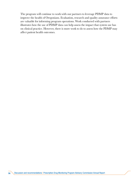The program will continue to work with our partners to leverage PDMP data to improve the health of Oregonians. Evaluation, research and quality assurance efforts are valuable for informing program operations. Work conducted with partners illustrates how the use of PDMP data can help assess the impact that system use has on clinical practice. However, there is more work to do to assess how the PDMP may affect patient health outcomes.